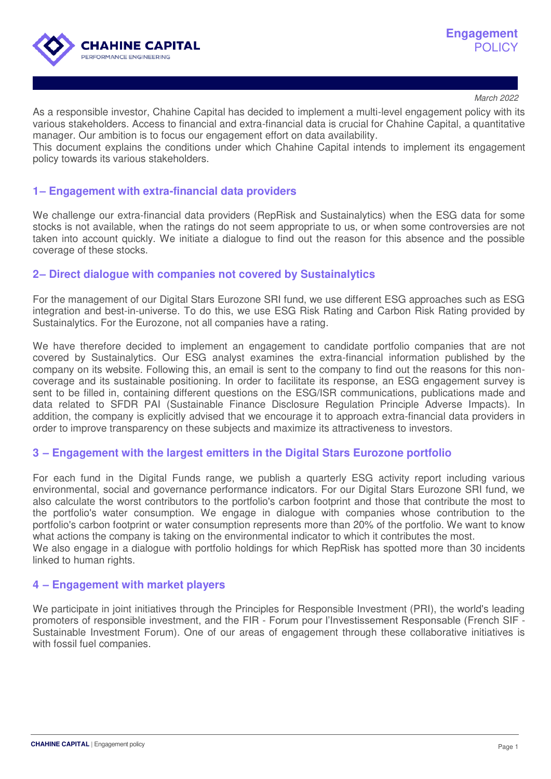

March 2022

As a responsible investor, Chahine Capital has decided to implement a multi-level engagement policy with its various stakeholders. Access to financial and extra-financial data is crucial for Chahine Capital, a quantitative manager. Our ambition is to focus our engagement effort on data availability.

This document explains the conditions under which Chahine Capital intends to implement its engagement policy towards its various stakeholders.

## **1 – Engagement with extra-financial data providers**

We challenge our extra-financial data providers (RepRisk and Sustainalytics) when the ESG data for some stocks is not available, when the ratings do not seem appropriate to us, or when some controversies are not taken into account quickly. We initiate a dialogue to find out the reason for this absence and the possible coverage of these stocks.

### **2 – Direct dialogue with companies not covered by Sustainalytics**

For the management of our Digital Stars Eurozone SRI fund, we use different ESG approaches such as ESG integration and best-in-universe. To do this, we use ESG Risk Rating and Carbon Risk Rating provided by Sustainalytics. For the Eurozone, not all companies have a rating.

We have therefore decided to implement an engagement to candidate portfolio companies that are not covered by Sustainalytics. Our ESG analyst examines the extra-financial information published by the company on its website. Following this, an email is sent to the company to find out the reasons for this noncoverage and its sustainable positioning. In order to facilitate its response, an ESG engagement survey is sent to be filled in, containing different questions on the ESG/ISR communications, publications made and data related to SFDR PAI (Sustainable Finance Disclosure Regulation Principle Adverse Impacts). In addition, the company is explicitly advised that we encourage it to approach extra-financial data providers in order to improve transparency on these subjects and maximize its attractiveness to investors.

### **3 – Engagement with the largest emitters in the Digital Stars Eurozone portfolio**

For each fund in the Digital Funds range, we publish a quarterly ESG activity report including various environmental, social and governance performance indicators. For our Digital Stars Eurozone SRI fund, we also calculate the worst contributors to the portfolio's carbon footprint and those that contribute the most to the portfolio's water consumption. We engage in dialogue with companies whose contribution to the portfolio's carbon footprint or water consumption represents more than 20% of the portfolio. We want to know what actions the company is taking on the environmental indicator to which it contributes the most. We also engage in a dialogue with portfolio holdings for which RepRisk has spotted more than 30 incidents linked to human rights.

### **4 – Engagement with market players**

We participate in joint initiatives through the Principles for Responsible Investment (PRI), the world's leading promoters of responsible investment, and the FIR - Forum pour l'Investissement Responsable (French SIF - Sustainable Investment Forum). One of our areas of engagement through these collaborative initiatives is with fossil fuel companies.